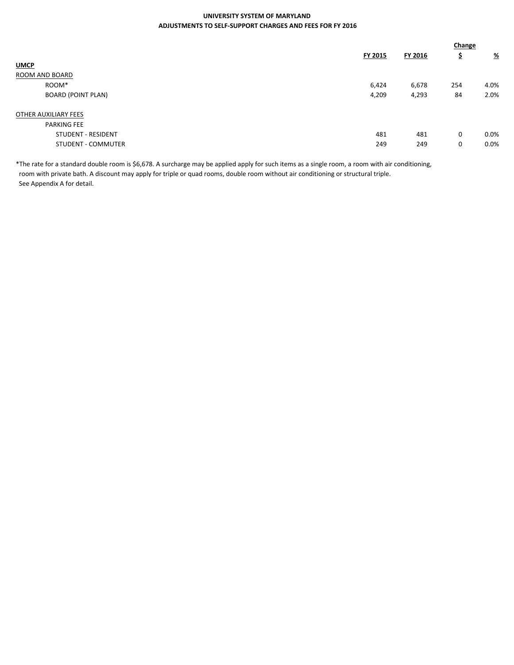## **UNIVERSITY SYSTEM OF MARYLAND ADJUSTMENTS TO SELF-SUPPORT CHARGES AND FEES FOR FY 2016**

|                           |         | Change  |     |               |
|---------------------------|---------|---------|-----|---------------|
|                           | FY 2015 | FY 2016 | Ş   | $\frac{9}{6}$ |
| <b>UMCP</b>               |         |         |     |               |
| ROOM AND BOARD            |         |         |     |               |
| ROOM*                     | 6,424   | 6,678   | 254 | 4.0%          |
| <b>BOARD (POINT PLAN)</b> | 4,209   | 4,293   | 84  | 2.0%          |
| OTHER AUXILIARY FEES      |         |         |     |               |
| <b>PARKING FEE</b>        |         |         |     |               |
| <b>STUDENT - RESIDENT</b> | 481     | 481     | 0   | $0.0\%$       |
| <b>STUDENT - COMMUTER</b> | 249     | 249     | 0   | 0.0%          |

\*The rate for a standard double room is \$6,678. A surcharge may be applied apply for such items as a single room, a room with air conditioning, room with private bath. A discount may apply for triple or quad rooms, double room without air conditioning or structural triple. See Appendix A for detail.